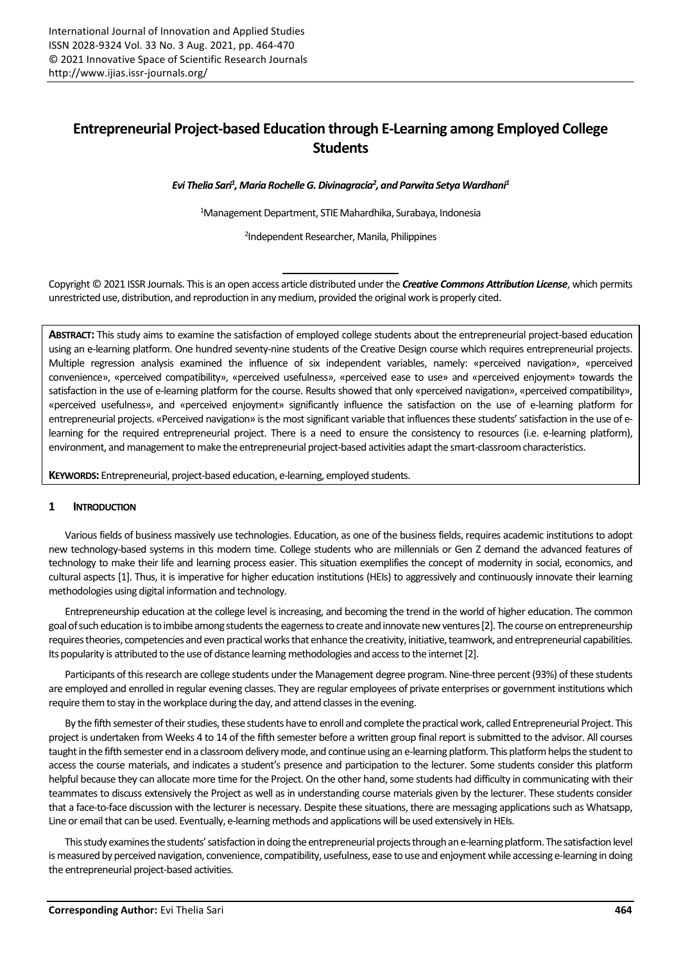# **Entrepreneurial Project-based Education through E-Learning among Employed College Students**

*Evi Thelia Sari<sup>1</sup> , Maria Rochelle G. Divinagracia<sup>2</sup> , and Parwita Setya Wardhani<sup>1</sup>*

<sup>1</sup>Management Department, STIE Mahardhika, Surabaya, Indonesia

2 Independent Researcher, Manila, Philippines

Copyright © 2021 ISSR Journals. This is an open access article distributed under the *Creative Commons Attribution License*, which permits unrestricted use, distribution, and reproduction in any medium, provided the original work is properly cited.

**ABSTRACT:** This study aims to examine the satisfaction of employed college students about the entrepreneurial project-based education using an e-learning platform. One hundred seventy-nine students of the Creative Design course which requires entrepreneurial projects. Multiple regression analysis examined the influence of six independent variables, namely: «perceived navigation», «perceived convenience», «perceived compatibility», «perceived usefulness», «perceived ease to use» and «perceived enjoyment» towards the satisfaction in the use of e-learning platform for the course. Results showed that only «perceived navigation», «perceived compatibility», «perceived usefulness», and «perceived enjoyment» significantly influence the satisfaction on the use of e-learning platform for entrepreneurial projects. «Perceived navigation» is the most significant variable that influences these students' satisfaction in the use of elearning for the required entrepreneurial project. There is a need to ensure the consistency to resources (i.e. e-learning platform), environment, and management to make the entrepreneurial project-based activities adapt the smart-classroom characteristics.

**KEYWORDS:** Entrepreneurial, project-based education, e-learning, employed students.

### **1 INTRODUCTION**

Various fields of business massively use technologies. Education, as one of the business fields, requires academic institutions to adopt new technology-based systems in this modern time. College students who are millennials or Gen Z demand the advanced features of technology to make their life and learning process easier. This situation exemplifies the concept of modernity in social, economics, and cultural aspects [1]. Thus, it is imperative for higher education institutions (HEIs) to aggressively and continuously innovate their learning methodologies using digital information and technology.

Entrepreneurship education at the college level is increasing, and becoming the trend in the world of higher education. The common goal of such education is to imbibe among students the eagerness to create and innovate new ventures[2]. The course on entrepreneurship requires theories, competencies and even practical works that enhance the creativity, initiative, teamwork, and entrepreneurial capabilities. Its popularity is attributed to the use of distance learning methodologies and access to the internet[2].

Participants of this research are college students under the Management degree program. Nine-three percent (93%) of these students are employed and enrolled in regular evening classes. They are regular employees of private enterprises or government institutions which require them to stay in the workplace during the day, and attend classes in the evening.

By the fifth semester of their studies, these students have to enroll and complete the practical work, called Entrepreneurial Project. This project is undertaken from Weeks 4 to 14 of the fifth semester before a written group final report is submitted to the advisor. All courses taught in the fifth semester end in a classroom delivery mode, and continue using an e-learning platform. This platform helps the student to access the course materials, and indicates a student's presence and participation to the lecturer. Some students consider this platform helpful because they can allocate more time for the Project. On the other hand, some students had difficulty in communicating with their teammates to discuss extensively the Project as well as in understanding course materials given by the lecturer. These students consider that a face-to-face discussion with the lecturer is necessary. Despite these situations, there are messaging applications such as Whatsapp, Line or email that can be used. Eventually, e-learning methods and applications will be used extensively in HEIs.

This study examines the students' satisfaction in doing the entrepreneurial projects through an e-learning platform. The satisfaction level is measured by perceived navigation, convenience, compatibility, usefulness, ease to use and enjoyment while accessing e-learning in doing the entrepreneurial project-based activities.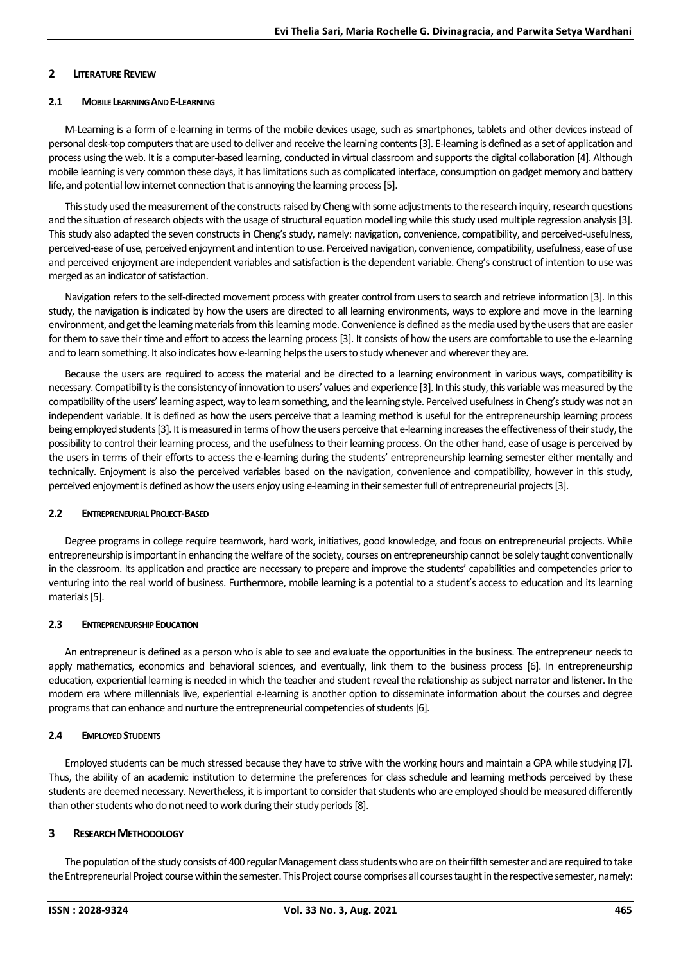#### **2 LITERATURE REVIEW**

#### **2.1 MOBILE LEARNING AND E-LEARNING**

M-Learning is a form of e-learning in terms of the mobile devices usage, such as smartphones, tablets and other devices instead of personal desk-top computers that are used to deliver and receive the learning contents[3]. E-learning is defined as a set of application and process using the web. It is a computer-based learning, conducted in virtual classroom and supports the digital collaboration [4]. Although mobile learning is very common these days, it has limitations such as complicated interface, consumption on gadget memory and battery life, and potential low internet connection that is annoying the learning process[5].

This study used the measurement of the constructs raised by Cheng with some adjustments to the research inquiry, research questions and the situation of research objects with the usage of structural equation modelling while this study used multiple regression analysis[3]. This study also adapted the seven constructs in Cheng's study, namely: navigation, convenience, compatibility, and perceived-usefulness, perceived-ease of use, perceived enjoyment and intention to use. Perceived navigation, convenience, compatibility, usefulness, ease of use and perceived enjoyment are independent variables and satisfaction is the dependent variable. Cheng's construct of intention to use was merged as an indicator of satisfaction.

Navigation refers to the self-directed movement process with greater control from users to search and retrieve information [3]. In this study, the navigation is indicated by how the users are directed to all learning environments, ways to explore and move in the learning environment, and get the learning materials from this learning mode. Convenience is defined as the media used by the users that are easier for them to save their time and effort to access the learning process[3]. It consists of how the users are comfortable to use the e-learning and to learn something. It also indicates how e-learning helps the users to study whenever and wherever they are.

Because the users are required to access the material and be directed to a learning environment in various ways, compatibility is necessary. Compatibility is the consistency of innovation to users' values and experience [3]. In this study, this variable was measured by the compatibility of the users' learning aspect, way to learn something, and the learning style. Perceived usefulness in Cheng's study was not an independent variable. It is defined as how the users perceive that a learning method is useful for the entrepreneurship learning process being employed students[3]. It is measured in terms of how the users perceive that e-learning increases the effectiveness of their study, the possibility to control their learning process, and the usefulness to their learning process. On the other hand, ease of usage is perceived by the users in terms of their efforts to access the e-learning during the students' entrepreneurship learning semester either mentally and technically. Enjoyment is also the perceived variables based on the navigation, convenience and compatibility, however in this study, perceived enjoyment is defined as how the users enjoy using e-learning in their semester full of entrepreneurial projects[3].

### **2.2 ENTREPRENEURIAL PROJECT-BASED**

Degree programs in college require teamwork, hard work, initiatives, good knowledge, and focus on entrepreneurial projects. While entrepreneurship is important in enhancing the welfare of the society, courses on entrepreneurship cannot be solely taught conventionally in the classroom. Its application and practice are necessary to prepare and improve the students' capabilities and competencies prior to venturing into the real world of business. Furthermore, mobile learning is a potential to a student's access to education and its learning materials [5].

### **2.3 ENTREPRENEURSHIP EDUCATION**

An entrepreneur is defined as a person who is able to see and evaluate the opportunities in the business. The entrepreneur needs to apply mathematics, economics and behavioral sciences, and eventually, link them to the business process [6]. In entrepreneurship education, experiential learning is needed in which the teacher and student reveal the relationship as subject narrator and listener. In the modern era where millennials live, experiential e-learning is another option to disseminate information about the courses and degree programs that can enhance and nurture the entrepreneurial competencies of students[6].

### **2.4 EMPLOYED STUDENTS**

Employed students can be much stressed because they have to strive with the working hours and maintain a GPA while studying [7]. Thus, the ability of an academic institution to determine the preferences for class schedule and learning methods perceived by these students are deemed necessary. Nevertheless, it is important to consider that students who are employed should be measured differently than other students who do not need to work during their study periods[8].

### **3 RESEARCH METHODOLOGY**

The population of the study consists of 400 regular Management class students who are on their fifth semester and are required to take the Entrepreneurial Project course within the semester. This Project course comprises all courses taught in the respective semester, namely: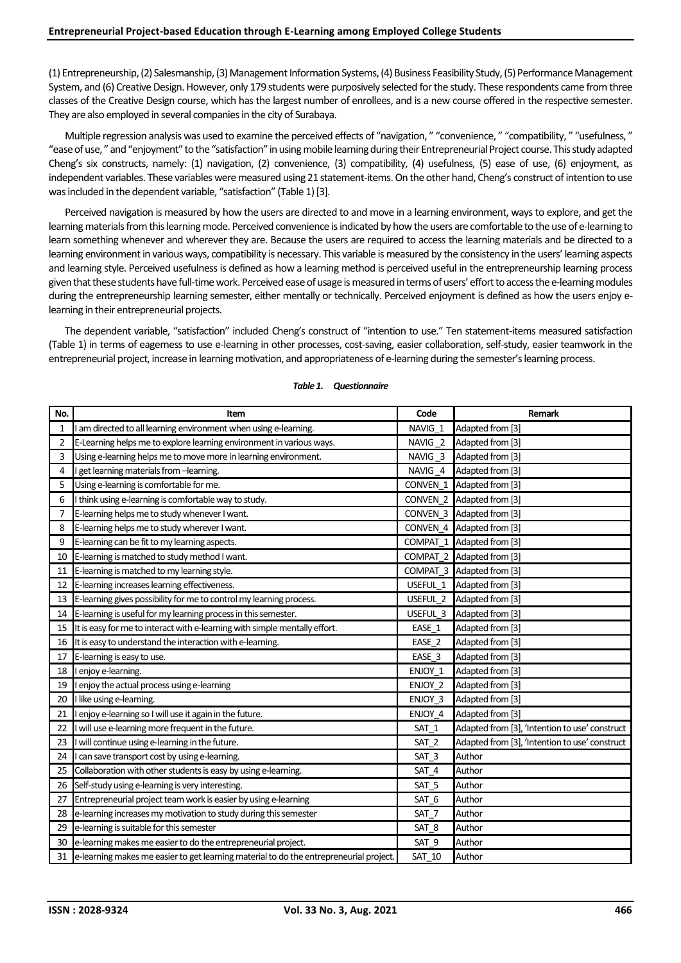(1) Entrepreneurship,(2) Salesmanship,(3) Management Information Systems,(4) Business Feasibility Study,(5) Performance Management System, and (6) Creative Design. However, only 179 students were purposively selected for the study. These respondents came from three classes of the Creative Design course, which has the largest number of enrollees, and is a new course offered in the respective semester. They are also employed in several companies in the city of Surabaya.

Multiple regression analysis was used to examine the perceived effects of "navigation, " "convenience, " "compatibility, " "usefulness, " "ease of use, " and "enjoyment" to the "satisfaction" in using mobile learning during their Entrepreneurial Project course. This study adapted Cheng's six constructs, namely: (1) navigation, (2) convenience, (3) compatibility, (4) usefulness, (5) ease of use, (6) enjoyment, as independent variables. These variables were measured using 21 statement-items. On the other hand, Cheng's construct of intention to use was included in the dependent variable, "satisfaction" (Table 1) [3].

Perceived navigation is measured by how the users are directed to and move in a learning environment, ways to explore, and get the learning materials from this learning mode. Perceived convenience is indicated by how the users are comfortable to the use of e-learning to learn something whenever and wherever they are. Because the users are required to access the learning materials and be directed to a learning environment in various ways, compatibility is necessary. This variable is measured by the consistency in the users' learning aspects and learning style. Perceived usefulness is defined as how a learning method is perceived useful in the entrepreneurship learning process given that these students have full-time work. Perceived ease of usage is measured in terms of users' effort to access the e-learning modules during the entrepreneurship learning semester, either mentally or technically. Perceived enjoyment is defined as how the users enjoy elearning in their entrepreneurial projects.

The dependent variable, "satisfaction" included Cheng's construct of "intention to use." Ten statement-items measured satisfaction (Table 1) in terms of eagerness to use e-learning in other processes, cost-saving, easier collaboration, self-study, easier teamwork in the entrepreneurial project, increase in learning motivation, and appropriateness of e-learning during the semester's learning process.

| No. | Item                                                                                   | Code               | Remark                                         |
|-----|----------------------------------------------------------------------------------------|--------------------|------------------------------------------------|
| 1   | am directed to all learning environment when using e-learning.                         | NAVIG_1            | Adapted from [3]                               |
| 2   | E-Learning helps me to explore learning environment in various ways.                   | NAVIG <sub>2</sub> | Adapted from [3]                               |
| 3   | Using e-learning helps me to move more in learning environment.                        | NAVIG <sub>3</sub> | Adapted from [3]                               |
| 4   | get learning materials from -learning.                                                 | NAVIG_4            | Adapted from [3]                               |
| 5   | Using e-learning is comfortable for me.                                                | CONVEN 1           | Adapted from [3]                               |
| 6   | I think using e-learning is comfortable way to study.                                  | CONVEN_2           | Adapted from [3]                               |
| 7   | E-learning helps me to study whenever I want.                                          | CONVEN 3           | Adapted from [3]                               |
| 8   | E-learning helps me to study wherever I want.                                          | CONVEN 4           | Adapted from [3]                               |
| 9   | E-learning can be fit to my learning aspects.                                          | COMPAT_1           | Adapted from [3]                               |
| 10  | E-learning is matched to study method I want.                                          | COMPAT 2           | Adapted from [3]                               |
| 11  | E-learning is matched to my learning style.                                            | COMPAT 3           | Adapted from [3]                               |
| 12  | E-learning increases learning effectiveness.                                           | USEFUL 1           | Adapted from [3]                               |
| 13  | E-learning gives possibility for me to control my learning process.                    | USEFUL 2           | Adapted from [3]                               |
| 14  | E-learning is useful for my learning process in this semester.                         | USEFUL 3           | Adapted from [3]                               |
| 15  | It is easy for me to interact with e-learning with simple mentally effort.             | EASE 1             | Adapted from [3]                               |
| 16  | It is easy to understand the interaction with e-learning.                              | EASE 2             | Adapted from [3]                               |
| 17  | E-learning is easy to use.                                                             | EASE 3             | Adapted from [3]                               |
| 18  | I enjoy e-learning.                                                                    | ENJOY 1            | Adapted from [3]                               |
| 19  | I enjoy the actual process using e-learning                                            | ENJOY 2            | Adapted from [3]                               |
| 20  | I like using e-learning.                                                               | ENJOY 3            | Adapted from [3]                               |
| 21  | I enjoy e-learning so I will use it again in the future.                               | ENJOY_4            | Adapted from [3]                               |
| 22  | I will use e-learning more frequent in the future.                                     | SAT 1              | Adapted from [3], 'Intention to use' construct |
| 23  | I will continue using e-learning in the future.                                        | SAT <sub>2</sub>   | Adapted from [3], 'Intention to use' construct |
| 24  | I can save transport cost by using e-learning.                                         | SAT <sub>3</sub>   | Author                                         |
| 25  | Collaboration with other students is easy by using e-learning.                         | SAT 4              | Author                                         |
| 26  | Self-study using e-learning is very interesting.                                       | SAT <sub>5</sub>   | Author                                         |
| 27  | Entrepreneurial project team work is easier by using e-learning                        | SAT 6              | Author                                         |
| 28  | e-learning increases my motivation to study during this semester                       | SAT 7              | Author                                         |
| 29  | e-learning is suitable for this semester                                               | SAT_8              | Author                                         |
| 30  | e-learning makes me easier to do the entrepreneurial project.                          | SAT_9              | Author                                         |
| 31  | e-learning makes me easier to get learning material to do the entrepreneurial project. | <b>SAT 10</b>      | Author                                         |

#### *Table 1. Questionnaire*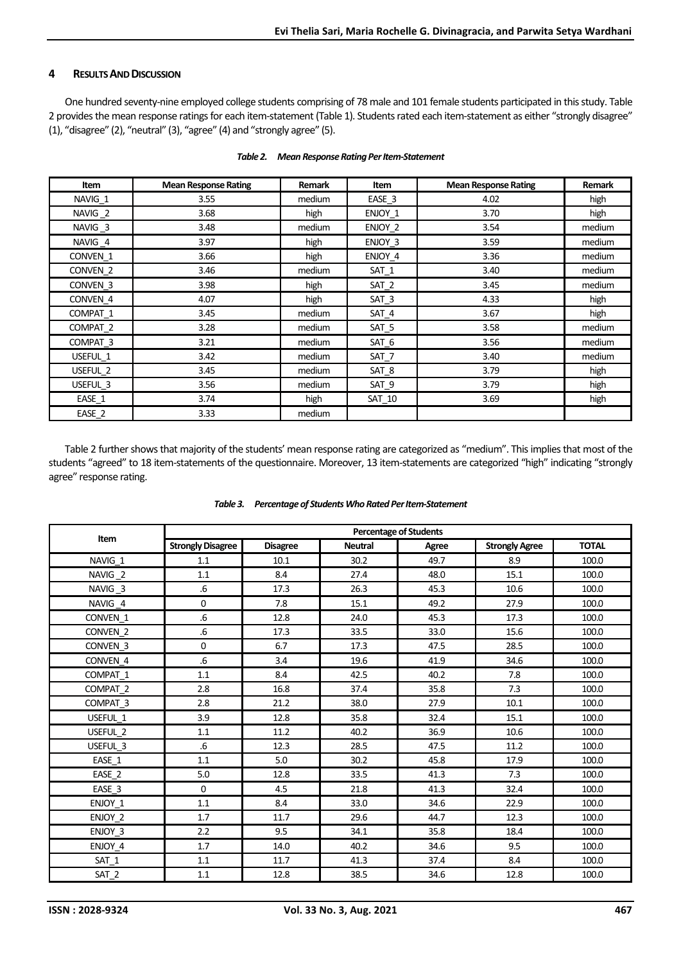### **4 RESULTS AND DISCUSSION**

One hundred seventy-nine employed college students comprising of 78 male and 101 female students participated in this study. Table 2 provides the mean response ratings for each item-statement (Table 1). Students rated each item-statement as either "strongly disagree" (1), "disagree" (2), "neutral" (3), "agree" (4) and "strongly agree" (5).

| Item                | <b>Mean Response Rating</b> | Remark | Item             | <b>Mean Response Rating</b> | Remark |
|---------------------|-----------------------------|--------|------------------|-----------------------------|--------|
| NAVIG_1             | 3.55                        | medium | EASE 3           | 4.02                        | high   |
| NAVIG <sub>2</sub>  | 3.68                        | high   | ENJOY 1          | 3.70                        | high   |
| NAVIG <sub>_3</sub> | 3.48                        | medium | ENJOY 2          | 3.54                        | medium |
| NAVIG 4             | 3.97                        | high   | ENJOY 3          | 3.59                        | medium |
| CONVEN 1            | 3.66                        | high   | ENJOY 4          | 3.36                        | medium |
| CONVEN <sub>2</sub> | 3.46                        | medium | $SAT_1$          | 3.40                        | medium |
| CONVEN 3            | 3.98                        | high   | SAT_2            | 3.45                        | medium |
| CONVEN 4            | 4.07                        | high   | SAT_3            | 4.33                        | high   |
| COMPAT 1            | 3.45                        | medium | SAT_4            | 3.67                        | high   |
| COMPAT 2            | 3.28                        | medium | SAT_5            | 3.58                        | medium |
| COMPAT <sub>3</sub> | 3.21                        | medium | SAT_6            | 3.56                        | medium |
| USEFUL 1            | 3.42                        | medium | SAT <sub>7</sub> | 3.40                        | medium |
| USEFUL 2            | 3.45                        | medium | SAT 8            | 3.79                        | high   |
| USEFUL 3            | 3.56                        | medium | SAT_9            | 3.79                        | high   |
| EASE 1              | 3.74                        | high   | SAT_10           | 3.69                        | high   |
| EASE 2              | 3.33                        | medium |                  |                             |        |

| Table 2. | Mean Response Rating Per Item-Statement |  |
|----------|-----------------------------------------|--|
|          |                                         |  |

Table 2 further shows that majority of the students' mean response rating are categorized as "medium". This implies that most of the students "agreed" to 18 item-statements of the questionnaire. Moreover, 13 item-statements are categorized "high" indicating "strongly agree" response rating.

|                     | <b>Percentage of Students</b> |                 |                |       |                       |              |  |  |
|---------------------|-------------------------------|-----------------|----------------|-------|-----------------------|--------------|--|--|
| Item                | <b>Strongly Disagree</b>      | <b>Disagree</b> | <b>Neutral</b> | Agree | <b>Strongly Agree</b> | <b>TOTAL</b> |  |  |
| NAVIG 1             | 1.1                           | 10.1            | 30.2           | 49.7  | 8.9                   | 100.0        |  |  |
| NAVIG_2             | 1.1                           | 8.4             | 27.4           | 48.0  | 15.1                  | 100.0        |  |  |
| NAVIG_3             | .6                            | 17.3            | 26.3           | 45.3  | 10.6                  | 100.0        |  |  |
| NAVIG_4             | $\mathbf 0$                   | 7.8             | 15.1           | 49.2  | 27.9                  | 100.0        |  |  |
| CONVEN 1            | 6.6                           | 12.8            | 24.0           | 45.3  | 17.3                  | 100.0        |  |  |
| CONVEN 2            | .6                            | 17.3            | 33.5           | 33.0  | 15.6                  | 100.0        |  |  |
| CONVEN 3            | 0                             | 6.7             | 17.3           | 47.5  | 28.5                  | 100.0        |  |  |
| CONVEN_4            | 6.6                           | 3.4             | 19.6           | 41.9  | 34.6                  | 100.0        |  |  |
| COMPAT 1            | 1.1                           | 8.4             | 42.5           | 40.2  | 7.8                   | 100.0        |  |  |
| COMPAT 2            | 2.8                           | 16.8            | 37.4           | 35.8  | 7.3                   | 100.0        |  |  |
| COMPAT <sub>3</sub> | 2.8                           | 21.2            | 38.0           | 27.9  | 10.1                  | 100.0        |  |  |
| USEFUL 1            | 3.9                           | 12.8            | 35.8           | 32.4  | 15.1                  | 100.0        |  |  |
| USEFUL 2            | 1.1                           | 11.2            | 40.2           | 36.9  | 10.6                  | 100.0        |  |  |
| USEFUL 3            | 6.6                           | 12.3            | 28.5           | 47.5  | 11.2                  | 100.0        |  |  |
| $EASE_1$            | 1.1                           | 5.0             | 30.2           | 45.8  | 17.9                  | 100.0        |  |  |
| EASE 2              | 5.0                           | 12.8            | 33.5           | 41.3  | 7.3                   | 100.0        |  |  |
| EASE_3              | $\Omega$                      | 4.5             | 21.8           | 41.3  | 32.4                  | 100.0        |  |  |
| ENJOY 1             | 1.1                           | 8.4             | 33.0           | 34.6  | 22.9                  | 100.0        |  |  |
| ENJOY 2             | 1.7                           | 11.7            | 29.6           | 44.7  | 12.3                  | 100.0        |  |  |
| ENJOY 3             | 2.2                           | 9.5             | 34.1           | 35.8  | 18.4                  | 100.0        |  |  |
| ENJOY 4             | 1.7                           | 14.0            | 40.2           | 34.6  | 9.5                   | 100.0        |  |  |
| SAT 1               | 1.1                           | 11.7            | 41.3           | 37.4  | 8.4                   | 100.0        |  |  |
| $SAT_2$             | $1.1\,$                       | 12.8            | 38.5           | 34.6  | 12.8                  | 100.0        |  |  |

*Table 3. Percentage of Students Who Rated Per Item-Statement*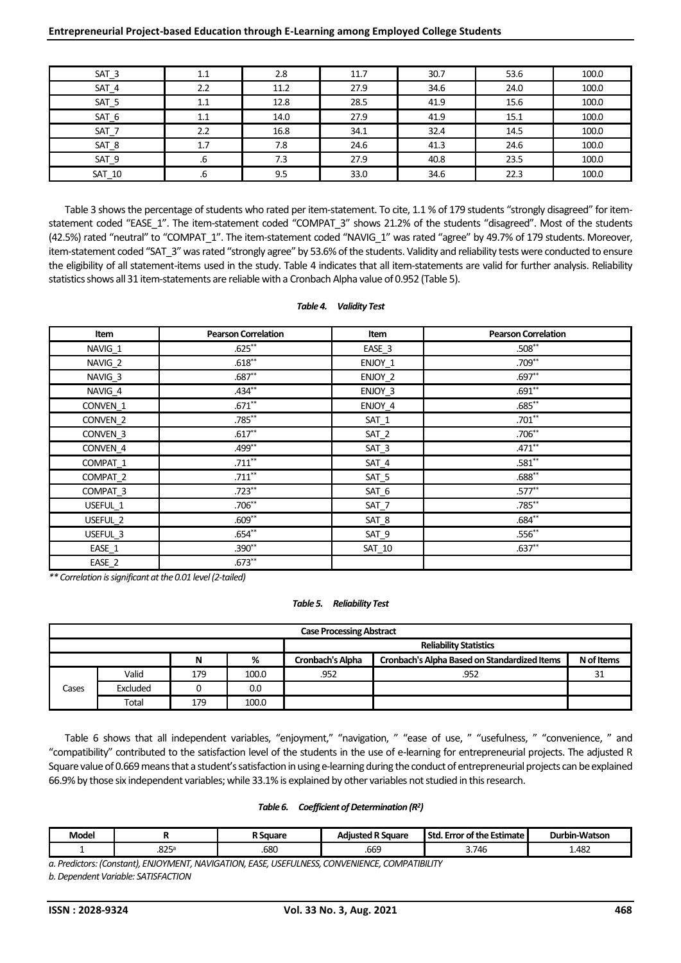| $SAT_3$ | 1.1 | 2.8  | 11.7 | 30.7 | 53.6 | 100.0 |
|---------|-----|------|------|------|------|-------|
| $SAT_4$ | 2.2 | 11.2 | 27.9 | 34.6 | 24.0 | 100.0 |
| $SAT_5$ | 1.1 | 12.8 | 28.5 | 41.9 | 15.6 | 100.0 |
| SAT_6   | 1.1 | 14.0 | 27.9 | 41.9 | 15.1 | 100.0 |
| $SAT_7$ | 2.2 | 16.8 | 34.1 | 32.4 | 14.5 | 100.0 |
| $SAT_8$ | 1.7 | 7.8  | 24.6 | 41.3 | 24.6 | 100.0 |
| SAT_9   | .6  | 7.3  | 27.9 | 40.8 | 23.5 | 100.0 |
| SAT_10  | .b  | 9.5  | 33.0 | 34.6 | 22.3 | 100.0 |

Table 3 shows the percentage of students who rated per item-statement. To cite, 1.1 % of 179 students "strongly disagreed" for itemstatement coded "EASE\_1". The item-statement coded "COMPAT\_3" shows 21.2% of the students "disagreed". Most of the students (42.5%) rated "neutral" to "COMPAT\_1". The item-statement coded "NAVIG\_1" was rated "agree" by 49.7% of 179 students. Moreover, item-statement coded "SAT\_3" was rated "strongly agree" by 53.6% of the students. Validity and reliability tests were conducted to ensure the eligibility of all statement-items used in the study. Table 4 indicates that all item-statements are valid for further analysis. Reliability statistics shows all 31 item-statements are reliable with a Cronbach Alpha value of 0.952 (Table 5).

#### *Table 4. Validity Test*

| Item                | <b>Pearson Correlation</b> | Item    | <b>Pearson Correlation</b> |
|---------------------|----------------------------|---------|----------------------------|
| NAVIG 1             | $.625***$                  | EASE 3  | $.508**$                   |
| NAVIG_2             | $.618**$                   | ENJOY 1 | $.709**$                   |
| NAVIG_3             | $.687**$                   | ENJOY_2 | $.697**$                   |
| NAVIG_4             | $.434***$                  | ENJOY_3 | $.691**$                   |
| CONVEN 1            | $.671***$                  | ENJOY 4 | $.685**$                   |
| CONVEN 2            | $.785***$                  | $SAT_1$ | $.701**$                   |
| CONVEN 3            | $.617**$                   | $SAT_2$ | $.706**$                   |
| CONVEN 4            | .499**                     | $SAT_3$ | $.471***$                  |
| COMPAT_1            | $.711***$                  | $SAT_4$ | $.581**$                   |
| COMPAT_2            | $.711***$                  | $SAT_5$ | $.688^{**}$                |
| COMPAT <sub>3</sub> | $.723**$                   | SAT_6   | $.577***$                  |
| USEFUL 1            | $.706**$                   | $SAT_7$ | $.785***$                  |
| USEFUL 2            | $.609**$                   | SAT_8   | $.684**$                   |
| USEFUL 3            | $.654**$                   | SAT_9   | $.556**$                   |
| EASE_1              | $.390**$                   | SAT_10  | $.637**$                   |
| EASE_2              | $.673**$                   |         |                            |

*\*\* Correlation is significant at the 0.01 level(2-tailed)*

#### *Table 5. Reliability Test*

| <b>Case Processing Abstract</b> |                               |     |       |                  |                                                     |            |  |  |  |
|---------------------------------|-------------------------------|-----|-------|------------------|-----------------------------------------------------|------------|--|--|--|
|                                 | <b>Reliability Statistics</b> |     |       |                  |                                                     |            |  |  |  |
| %<br>N                          |                               |     |       | Cronbach's Alpha | <b>Cronbach's Alpha Based on Standardized Items</b> | N of Items |  |  |  |
|                                 | Valid                         | 179 | 100.0 | .952             | .952                                                | 31         |  |  |  |
| Cases                           | Excluded                      |     | 0.0   |                  |                                                     |            |  |  |  |
|                                 | Total                         | 179 | 100.0 |                  |                                                     |            |  |  |  |

Table 6 shows that all independent variables, "enjoyment," "navigation, " "ease of use, " "usefulness, " "convenience, " and "compatibility" contributed to the satisfaction level of the students in the use of e-learning for entrepreneurial projects. The adjusted R Square value of 0.669 means that a student's satisfaction in using e-learning during the conduct of entrepreneurial projects can be explained 66.9% by those six independent variables; while 33.1% is explained by other variables not studied in this research.

#### *Table 6. Coefficient of Determination (R<sup>2</sup> )*

| <b>Model</b> |                         | $\sim$<br>square | Sauare<br>---<br>- 16<br>-10 | . Error of the Estimate<br>Std | rbin-Watson<br>Dur |
|--------------|-------------------------|------------------|------------------------------|--------------------------------|--------------------|
|              | .825 <sup>5</sup><br>__ | .680             | .669                         | .746<br>∽<br>                  | 1.482              |

*a. Predictors: (Constant), ENJOYMENT, NAVIGATION, EASE, USEFULNESS, CONVENIENCE, COMPATIBILITY b. Dependent Variable: SATISFACTION*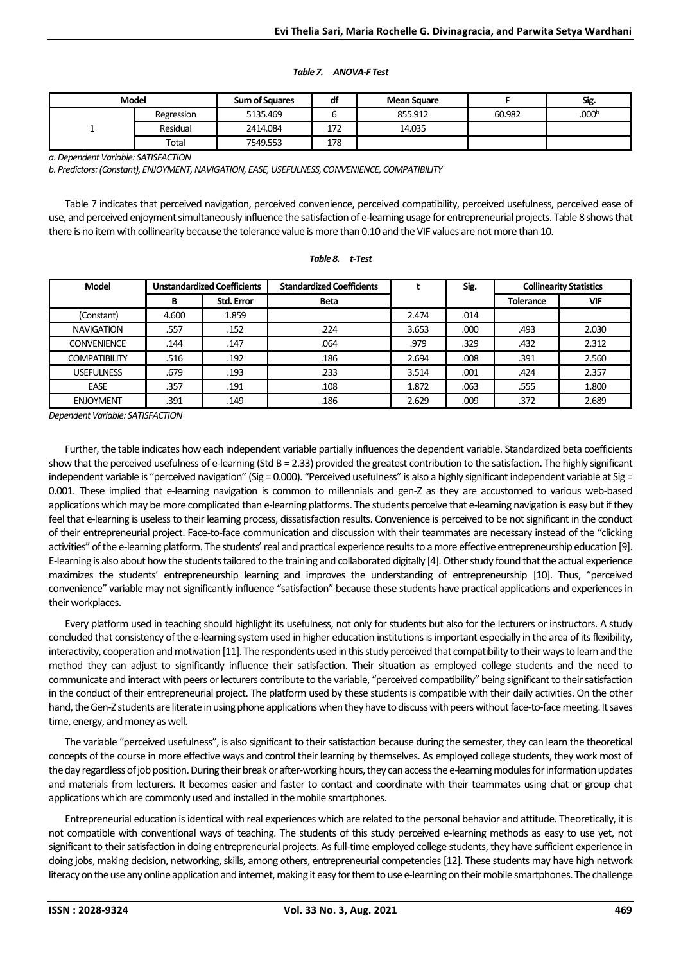#### *Table 7. ANOVA-F Test*

| <b>Model</b> |            | <b>Sum of Squares</b> | aı  | <b>Mean Square</b> |        | Sig.              |
|--------------|------------|-----------------------|-----|--------------------|--------|-------------------|
|              | Regression | 5135.469              |     | 855.912            | 60.982 | .000 <sup>b</sup> |
|              | Residual   | 2414.084              | 172 | 14.035             |        |                   |
|              | Total      | 7549.553              | 178 |                    |        |                   |

*a. Dependent Variable: SATISFACTION*

*b. Predictors: (Constant), ENJOYMENT, NAVIGATION, EASE, USEFULNESS, CONVENIENCE, COMPATIBILITY*

Table 7 indicates that perceived navigation, perceived convenience, perceived compatibility, perceived usefulness, perceived ease of use, and perceived enjoyment simultaneously influence the satisfaction of e-learning usage for entrepreneurial projects. Table 8 shows that there is no item with collinearity because the tolerance value is more than 0.10 and the VIF values are not more than 10.

*Table 8. t-Test*

## **Model Unstandardized Coefficients Standardized Coefficients t Sig. Collinearity Statistics B Std. Error Beta TOLE 1 Tolerance VIF** (Constant) 4.600 1.859 2.474 .014 000 .493 .557 .152 .224 .152 .000 .493 .224 .152 .000 2.312 **ASSEMENCE 1.44 .147 .147 .064 .064 .329 .329 .432** .312 COMPATIBILITY | .516 .192 | .192 .186 .195 | .008 | .391 | 2.560 USEFULNESS | .679 | .193 | .233 | 3.514 .001 | .424 | 2.357 1.800 .555 .555 .108 .108 .063 .555 .555 .5800 .555 .550 .555 ENJOYMENT | .391 | .149 | .186 | 2.629 | .009 | .372 | 2.689

*Dependent Variable: SATISFACTION*

Further, the table indicates how each independent variable partially influences the dependent variable. Standardized beta coefficients show that the perceived usefulness of e-learning (Std B = 2.33) provided the greatest contribution to the satisfaction. The highly significant independent variable is "perceived navigation" (Sig = 0.000). "Perceived usefulness" is also a highly significant independent variable at Sig = 0.001. These implied that e-learning navigation is common to millennials and gen-Z as they are accustomed to various web-based applications which may be more complicated than e-learning platforms. The students perceive that e-learning navigation is easy but if they feel that e-learning is useless to their learning process, dissatisfaction results. Convenience is perceived to be not significant in the conduct of their entrepreneurial project. Face-to-face communication and discussion with their teammates are necessary instead of the "clicking activities" of the e-learning platform. The students' real and practical experience results to a more effective entrepreneurship education [9]. E-learning is also about how the students tailored to the training and collaborated digitally [4].Other study found that the actual experience maximizes the students' entrepreneurship learning and improves the understanding of entrepreneurship [10]. Thus, "perceived convenience" variable may not significantly influence "satisfaction" because these students have practical applications and experiences in their workplaces.

Every platform used in teaching should highlight its usefulness, not only for students but also for the lecturers or instructors. A study concluded that consistency of the e-learning system used in higher education institutions is important especially in the area of its flexibility, interactivity, cooperation and motivation [11].The respondents used in this study perceived that compatibility to their ways to learn and the method they can adjust to significantly influence their satisfaction. Their situation as employed college students and the need to communicate and interact with peers or lecturers contribute to the variable, "perceived compatibility" being significant to their satisfaction in the conduct of their entrepreneurial project. The platform used by these students is compatible with their daily activities. On the other hand, the Gen-Z students are literate in using phone applications when they have to discuss with peers without face-to-face meeting. It saves time, energy, and money as well.

The variable "perceived usefulness", is also significant to their satisfaction because during the semester, they can learn the theoretical concepts of the course in more effective ways and control their learning by themselves. As employed college students, they work most of the day regardless of job position. During their break or after-working hours, they can access the e-learning modules for information updates and materials from lecturers. It becomes easier and faster to contact and coordinate with their teammates using chat or group chat applications which are commonly used and installed in the mobile smartphones.

Entrepreneurial education is identical with real experiences which are related to the personal behavior and attitude. Theoretically, it is not compatible with conventional ways of teaching. The students of this study perceived e-learning methods as easy to use yet, not significant to their satisfaction in doing entrepreneurial projects. As full-time employed college students, they have sufficient experience in doing jobs, making decision, networking, skills, among others, entrepreneurial competencies [12]. These students may have high network literacy on the use any online application and internet, making it easy for them to use e-learning on their mobile smartphones. The challenge